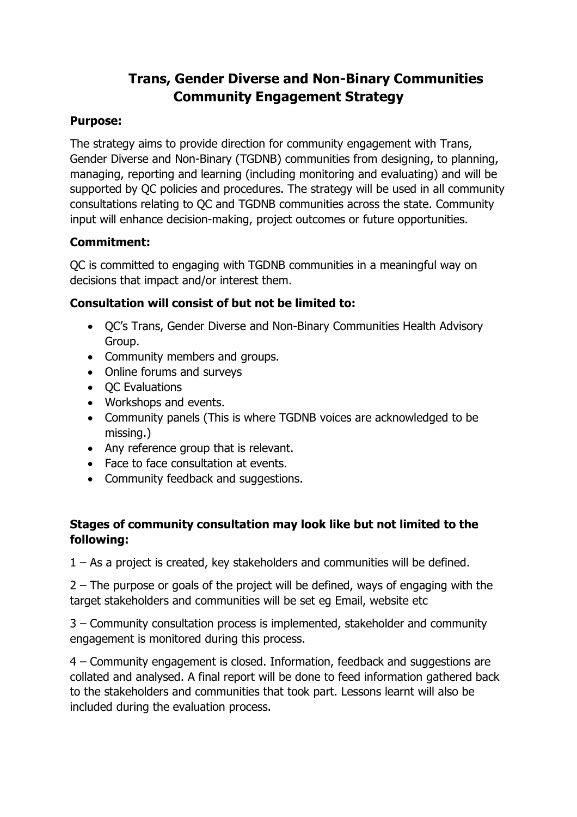# **Trans, Gender Diverse and Non-Binary Communities Community Engagement Strategy**

# **Purpose:**

The strategy aims to provide direction for community engagement with Trans, Gender Diverse and Non-Binary (TGDNB) communities from designing, to planning, managing, reporting and learning (including monitoring and evaluating) and will be supported by QC policies and procedures. The strategy will be used in all community consultations relating to QC and TGDNB communities across the state. Community input will enhance decision-making, project outcomes or future opportunities.

# **Commitment:**

QC is committed to engaging with TGDNB communities in a meaningful way on decisions that impact and/or interest them.

#### **Consultation will consist of but not be limited to:**

- QC's Trans, Gender Diverse and Non-Binary Communities Health Advisory Group.
- Community members and groups.
- Online forums and surveys
- QC Evaluations
- Workshops and events.
- Community panels (This is where TGDNB voices are acknowledged to be missing.)
- Any reference group that is relevant.
- Face to face consultation at events.
- Community feedback and suggestions.

#### **Stages of community consultation may look like but not limited to the following:**

1 – As a project is created, key stakeholders and communities will be defined.

2 – The purpose or goals of the project will be defined, ways of engaging with the target stakeholders and communities will be set eg Email, website etc

3 – Community consultation process is implemented, stakeholder and community engagement is monitored during this process.

4 – Community engagement is closed. Information, feedback and suggestions are collated and analysed. A final report will be done to feed information gathered back to the stakeholders and communities that took part. Lessons learnt will also be included during the evaluation process.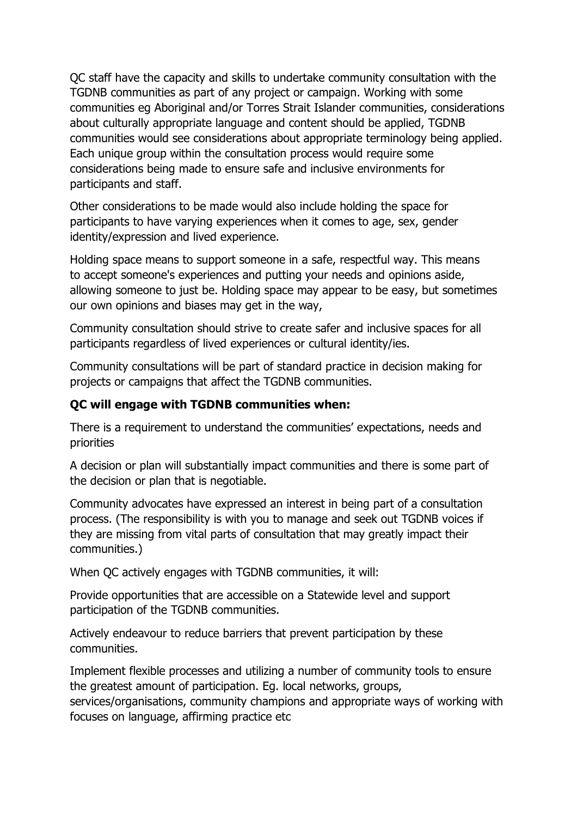QC staff have the capacity and skills to undertake community consultation with the TGDNB communities as part of any project or campaign. Working with some communities eg Aboriginal and/or Torres Strait Islander communities, considerations about culturally appropriate language and content should be applied, TGDNB communities would see considerations about appropriate terminology being applied. Each unique group within the consultation process would require some considerations being made to ensure safe and inclusive environments for participants and staff.

Other considerations to be made would also include holding the space for participants to have varying experiences when it comes to age, sex, gender identity/expression and lived experience.

Holding space means to support someone in a safe, respectful way. This means to accept someone's experiences and putting your needs and opinions aside, allowing someone to just be. Holding space may appear to be easy, but sometimes our own opinions and biases may get in the way,

Community consultation should strive to create safer and inclusive spaces for all participants regardless of lived experiences or cultural identity/ies.

Community consultations will be part of standard practice in decision making for projects or campaigns that affect the TGDNB communities.

# **QC will engage with TGDNB communities when:**

There is a requirement to understand the communities' expectations, needs and priorities

A decision or plan will substantially impact communities and there is some part of the decision or plan that is negotiable.

Community advocates have expressed an interest in being part of a consultation process. (The responsibility is with you to manage and seek out TGDNB voices if they are missing from vital parts of consultation that may greatly impact their communities.)

When QC actively engages with TGDNB communities, it will:

Provide opportunities that are accessible on a Statewide level and support participation of the TGDNB communities.

Actively endeavour to reduce barriers that prevent participation by these communities.

Implement flexible processes and utilizing a number of community tools to ensure the greatest amount of participation. Eg. local networks, groups, services/organisations, community champions and appropriate ways of working with focuses on language, affirming practice etc